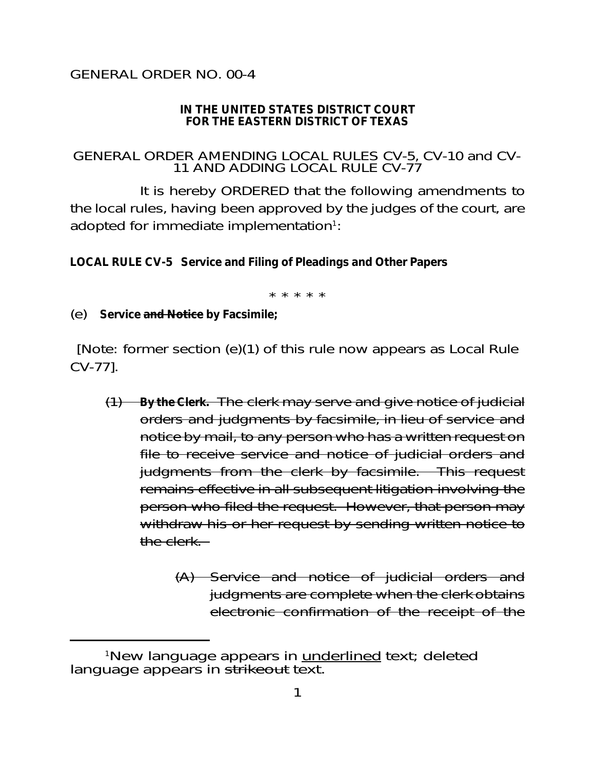## GENERAL ORDER NO. 00-4

## **IN THE UNITED STATES DISTRICT COURT FOR THE EASTERN DISTRICT OF TEXAS**

## GENERAL ORDER AMENDING LOCAL RULES CV-5, CV-10 and CV-11 AND ADDING LOCAL RULE CV-77

It is hereby ORDERED that the following amendments to the local rules, having been approved by the judges of the court, are adopted for immediate implementation $1$ :

**LOCAL RULE CV-5 Service and Filing of Pleadings and Other Papers**

\* \* \* \* \*

(e) **Service and Notice by Facsimile;**

[Note: former section (e)(1) of this rule now appears as Local Rule CV-77].

- (1) **By the Clerk.** The clerk may serve and give notice of judicial orders and judgments by facsimile, in lieu of service and notice by mail, to any person who has a written request on file to receive service and notice of judicial orders and judgments from the clerk by facsimile. This request remains effective in all subsequent litigation involving the person who filed the request. However, that person may withdraw his or her request by sending written notice to the clerk.
	- (A) Service and notice of judicial orders and judgments are complete when the clerk obtains electronic confirmation of the receipt of the

<sup>&</sup>lt;sup>1</sup>New language appears in underlined text; deleted language appears in strikeout text.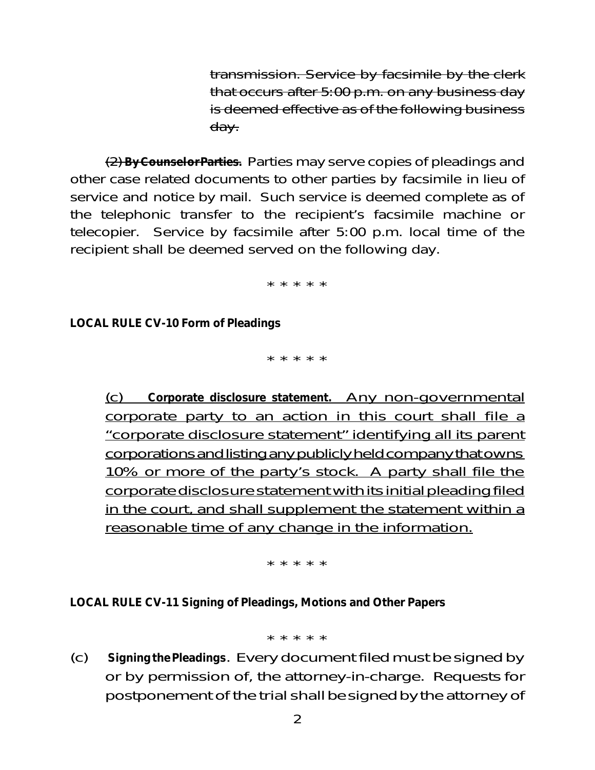transmission. Service by facsimile by the clerk that occurs after 5:00 p.m. on any business day is deemed effective as of the following business day.

(2) **ByCounselorParties.** Parties may serve copies of pleadings and other case related documents to other parties by facsimile in lieu of service and notice by mail. Such service is deemed complete as of the telephonic transfer to the recipient's facsimile machine or telecopier. Service by facsimile after 5:00 p.m. local time of the recipient shall be deemed served on the following day.

\* \* \* \* \*

**LOCAL RULE CV-10 Form of Pleadings**

\* \* \* \* \*

(c) **Corporate disclosure statement.** Any non-governmental corporate party to an action in this court shall file a "corporate disclosure statement" identifying all its parent corporations and listing any publicly held company that owns 10% or more of the party's stock. A party shall file the corporatedisclosure statement with its initial pleading filed in the court, and shall supplement the statement within a reasonable time of any change in the information.

\* \* \* \* \*

**LOCAL RULE CV-11 Signing of Pleadings, Motions and Other Papers**

\* \* \* \* \*

(c) **SigningthePleadings**. Every document filed must be signed by or by permission of, the attorney-in-charge. Requests for postponement of the trial shall be signed by the attorney of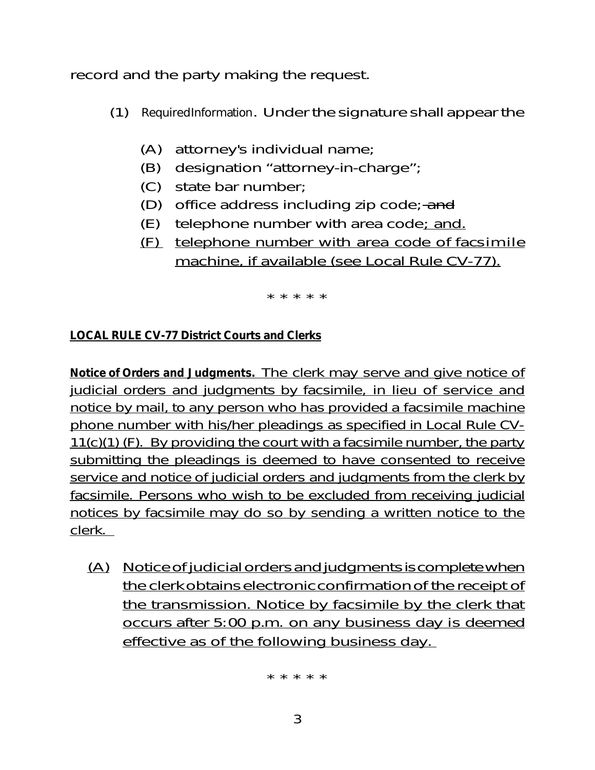record and the party making the request.

- (1) *RequiredInformation*. Under the signature shall appear the
	- (A) attorney's individual name;
	- (B) designation "attorney-in-charge";
	- (C) state bar number;
	- (D) office address including zip code; and
	- $(E)$  telephone number with area code; and.
	- (F) telephone number with area code of facsimile machine, if available (see Local Rule CV-77).

\* \* \* \* \*

## **LOCAL RULE CV-77 District Courts and Clerks**

**Notice of Orders and Judgments.** The clerk may serve and give notice of judicial orders and judgments by facsimile, in lieu of service and notice by mail, to any person who has provided a facsimile machine phone number with his/her pleadings as specified in Local Rule CV-11(c)(1) (F). By providing the court with a facsimile number, the party submitting the pleadings is deemed to have consented to receive service and notice of judicial orders and judgments from the clerk by facsimile. Persons who wish to be excluded from receiving judicial notices by facsimile may do so by sending a written notice to the clerk.

(A) Notice of judicial orders and judgments is complete when the clerk obtains electronic confirmation of the receipt of the transmission. Notice by facsimile by the clerk that occurs after 5:00 p.m. on any business day is deemed effective as of the following business day.

\* \* \* \* \*